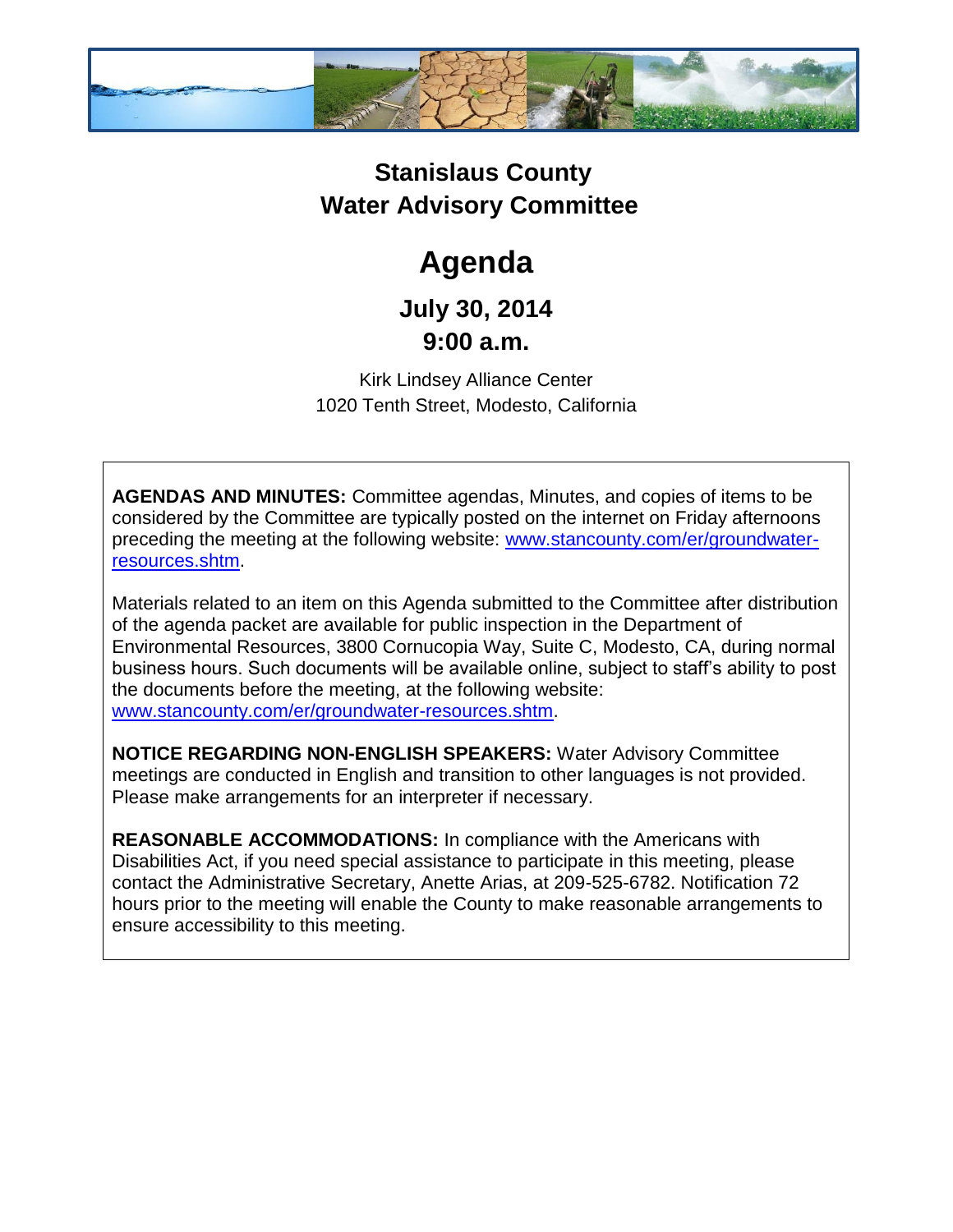

## **Stanislaus County Water Advisory Committee**

# **Agenda**

### **July 30, 2014 9:00 a.m.**

Kirk Lindsey Alliance Center 1020 Tenth Street, Modesto, California

**AGENDAS AND MINUTES:** Committee agendas, Minutes, and copies of items to be considered by the Committee are typically posted on the internet on Friday afternoons preceding the meeting at the following website: [www.stancounty.com/er/groundwater](http://www.stancounty.com/er/groundwater-resources.shtm)[resources.shtm.](http://www.stancounty.com/er/groundwater-resources.shtm)

Materials related to an item on this Agenda submitted to the Committee after distribution of the agenda packet are available for public inspection in the Department of Environmental Resources, 3800 Cornucopia Way, Suite C, Modesto, CA, during normal business hours. Such documents will be available online, subject to staff's ability to post the documents before the meeting, at the following website: [www.stancounty.com/er/groundwater-resources.shtm.](http://www.stancounty.com/er/groundwater-resources.shtm)

**NOTICE REGARDING NON-ENGLISH SPEAKERS:** Water Advisory Committee meetings are conducted in English and transition to other languages is not provided. Please make arrangements for an interpreter if necessary.

**REASONABLE ACCOMMODATIONS:** In compliance with the Americans with Disabilities Act, if you need special assistance to participate in this meeting, please contact the Administrative Secretary, Anette Arias, at 209-525-6782. Notification 72 hours prior to the meeting will enable the County to make reasonable arrangements to ensure accessibility to this meeting.